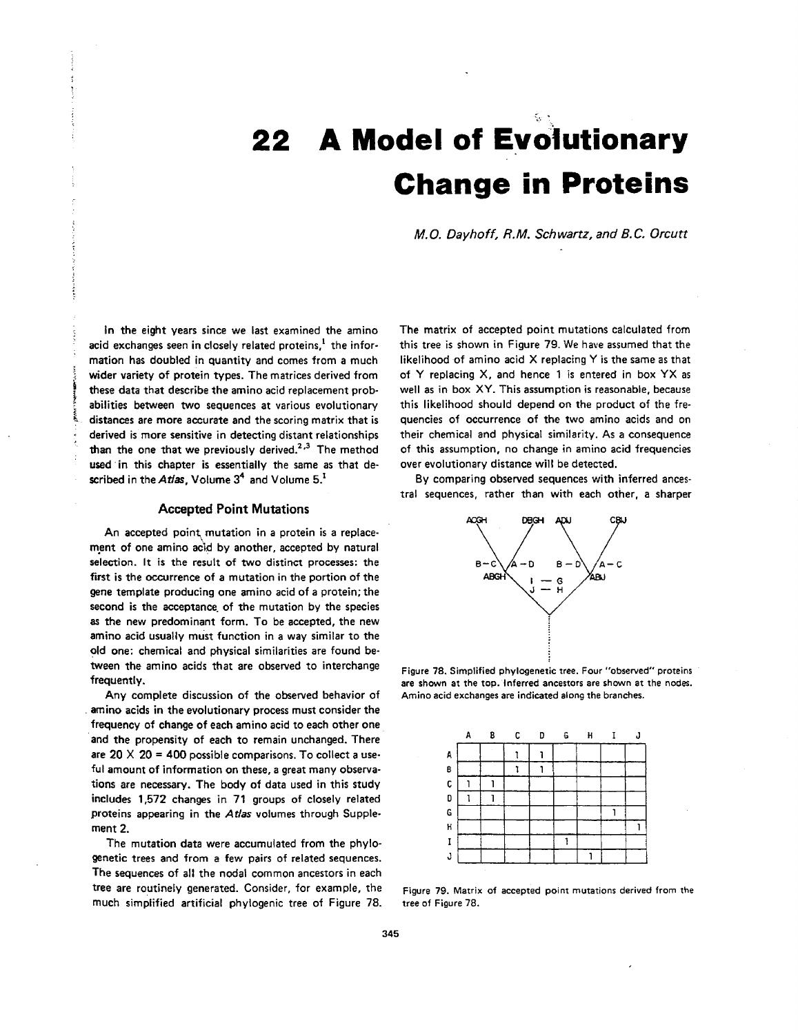# <span id="page-0-0"></span>**22 A Model of Evolutionary Change in Proteins**

*M.O. Dayhoff, R.M. Schwartz, and B.* **C,** *Orcutt* 

In the eight years since we last examined the amino acid exchanges seen in closely related proteins, $<sup>1</sup>$  the infor-</sup> mation has doubled in quantity and comes from a much wider variety of protein types. The matrices derived from these data that describe the amino acid replacement probabilities between **two** sequences at various evolutionary distances are more accurate and the scoring matrix that is derived is more sensitive in detecting distant relationships than the one that we previously derived.<sup>2,3</sup> The method **used** 'in this chapter is essentially the same as that described in the *Atlas,* Volume **34** and Volume 5.'

## **Accepted Point Mutations**

An accepted point mutation in a protein is a replacement *of* one amino acid **by** another, accepted by natural selection. It **is** the result **of two** distinct processes: the first is the Occurrence of a mutation in the portion of the gene template producing one amino acid of a protein: the second is the acceptance of the mutation by the species **as** the new predominant form. To be accepted, the new amino acid **usually** must function in a way similar to the old one: chemical and physical similarities are found between the amino acids that are observed to interchange frequently.

Any complete discussion of the observed behavior of amino acids in the evolutionary process must consider the frequency of change of each amino acid to each other one and the propensity of each to remain unchanged. There are **20** X **20** = **400** possible comparisons. To collect a useful amount **of** information **on** these, a great many observations are necessary. The **body** of data used in this study includes **1,572** changes in **71** groups of closely related proteins appearing in the *Atlas* volumes through Supplement 2.

The mutation data were accumulated from the phylogenetic trees and from a few pairs of related sequences. The sequences of **all** the nodal common ancestors in each tree are routinely generated. Consider, for example, the much simplified artificial phylogenic tree of Figure 78.

The matrix of accepted point mutations calculated from this tree is shown in Figure 79. We have assumed that the likelihood of amino acid **X** replacing **Y is** the same as that of **Y** replacing X, and hence 1 **is** entered in box **YX** as well as in box **XY.** This assumption is reasonable, because this likelihood should depend on the product of the frequencies of occurrence of the two amino acids and on their chemical and physical similarity. **As** a consequence of this assumption, no change in amino acid frequencies over evolutionary distance will be detected.

**By** comparing observed sequences with inferred ancestral sequences, rather than with each other, a sharper



Figure **78.** Simplified phylogenetic tree. Four "observed" proteins are shown at the top. Inferred ancestors are shown at the nodes. Amino acid exchanges are indicated along the branches.



Figure **79.** Matrix **of** accepted point mutations derived from **the**  tree of Figure *78.*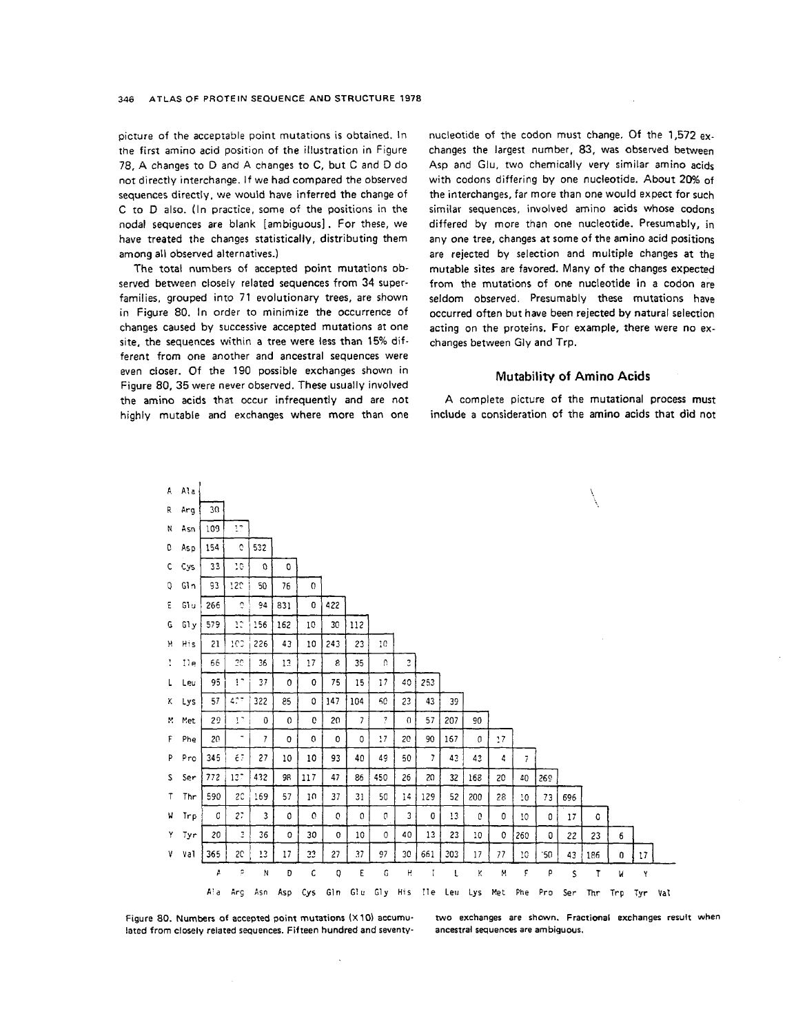picture of the acceptable point mutations is obtained. In the first amino acid position of the illustration in [Figure](#page-0-0) [78,](#page-0-0) A changes to **D** and A changes to C, but C and **D** do not directly interchange. If we had compared the observed sequences directly. we would have inferred the change of C to **D** also. (In practice, some *of* the positions in the nodal sequences are blank [ambiguous]. For these, we have treated the changes statistically, distributing them among all observed alternatives.)

The total numbers of accepted point mutations observed between closely related sequences from **34** superfamilies, grouped into 71 evolutionary trees, are shown **in** Figure 80. In order to minimize the occurrence of changes caused by successive accepted mutations at one site, the sequences within a tree were **less** than 15% different *from* one another and ancestral sequences were even closer. Of the 190 possible exchanges hown in Figure 80, 35 were never observed. These usually involved the amino acids that occur infrequently and are not highly mutable and exchanges where more than one nucleotide of the codon must change. **Of** the 1,572 exchanges the largest number, 83, was observed between Asp and Glu, two chemically very similar amino acids with codons differing by one nucleotide. About 20% of the interchanges, far more than one would expect for such similar sequences, involved amino acids whose codons differed by more than one nucleotide. Presumably, in any one tree, changes at some of the amino acid positions are rejected by selection and multiple changes at the mutable sites are favored. Many of the changes expected from the mutations of one nudeotide in **a** codon are seldom observed. Presumably these mutations have occurred often but have been rejected by natural selection acting on the proteins. For example, there were no exchanges between Gly and Trp.

#### **Mutability of Amino Acids**

**A** complete picture of the mutational process must include a consideration of the amino acids that did not



**lated** from **closely related sequences. Fifteen hundred and seventy- ancestral sequences are ambiguous.** 

 $\bar{\mathbf{v}}$ 

**Figure 80. Numbers of accepted point mutations (X10) accumu-** *two* **exchanges are shown. Fractional exchanges result when**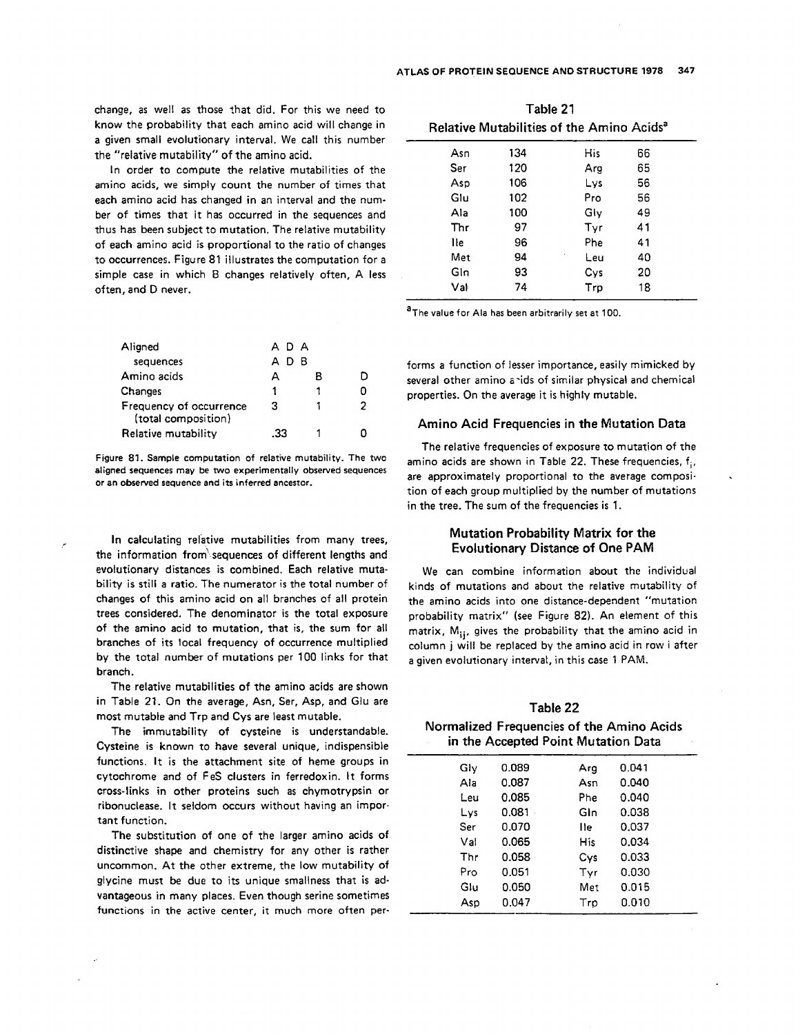<span id="page-2-0"></span>change, as well as those ?hat did. For this we need *to*  know the probability that each amino acid will change in a given small evolutionary interval. We call this number the "relative mutability" of the amino acid.

In order to compute the relative mutabilities of the amino acids, we simply count the number of times that each amino acid has changed in an interval and the number of times that it has occurred in the sequences and thus has been subject to mutation. The relative mutability of each amino acid **is** proportional to the ratio of changes to occurrences. Figure 81 illustrates the computation for a simple case in which 8 changes relatively often, A less often, and **D** never.

| Aligned                                        | A D A |    |   |
|------------------------------------------------|-------|----|---|
| sequences                                      | D     | в. |   |
| Amino acids                                    | А     | в  |   |
| Changes                                        | 1     |    |   |
| Frequency of occurrence<br>(total composition) | з     |    | 2 |
| Relative mutability                            | วว    |    |   |

Figure **81.** Sample computation of relative mutability. **The two**  aligned sequences may be **two** experimentally observed sequences or an observed sequence and its inferred anceszor.

In calculating relative mutabilities from many trees, the information from' sequences of different lengths and evolutionary distances is combined. Each relative mutability is still a ratio. The numerator is the total number of changes of this amino acid on all branches of all protein trees considered. The denominator is the total exposure of the amino acid to mutation, that is, the sum for all branches of its local frequency of occurrence multiplied **by** the total number of mutations per 100 links for that branch.

The relative mutabilities of the amino acids are shown in Table 21. On the average, Asn, Ser, Asp, and **Glu** are most mutable and Trp and Cys are least mutable.

The immutability of cysteine is understandable. Cysteine is known to have several unique, indispensible functions. It is the attachment site of heme groups in cytochrome and of FeS clusters in ferredoxin. It forms cross-links in other proteins such as chymotrypsin or ribonuclease. It seldom occurs without having an important function.

The substitution of one of the larger amino acids *of*  distinctive shape and chemistry for any other is rather uncommon. At the other extreme, the low mutability of glycine must be due to its unique smallness that is advantageous in many places. Even though serine sometimes **functions** in the active center, it much more often per-

| Table 21                                              |     |     |    |  |  |  |  |  |  |  |  |  |  |  |
|-------------------------------------------------------|-----|-----|----|--|--|--|--|--|--|--|--|--|--|--|
| Relative Mutabilities of the Amino Acids <sup>a</sup> |     |     |    |  |  |  |  |  |  |  |  |  |  |  |
| Asn                                                   | 134 | His | 66 |  |  |  |  |  |  |  |  |  |  |  |
| Ser                                                   | 120 | Arg | 65 |  |  |  |  |  |  |  |  |  |  |  |
| Asp                                                   | 106 | Lvs | 56 |  |  |  |  |  |  |  |  |  |  |  |
| Glu                                                   | 102 | Pro | 56 |  |  |  |  |  |  |  |  |  |  |  |
| Ala                                                   | 100 | Glv | 49 |  |  |  |  |  |  |  |  |  |  |  |
| Thr                                                   | 97  | Tyr | 41 |  |  |  |  |  |  |  |  |  |  |  |
| lle                                                   | 96  | Phe | 41 |  |  |  |  |  |  |  |  |  |  |  |
| Met                                                   | 94  | Leu | 40 |  |  |  |  |  |  |  |  |  |  |  |
| Gln                                                   | 93  | Cys | 20 |  |  |  |  |  |  |  |  |  |  |  |
| Val                                                   | 74  | Trp | 18 |  |  |  |  |  |  |  |  |  |  |  |
|                                                       |     |     |    |  |  |  |  |  |  |  |  |  |  |  |

aThe value for Ala has been arbitrarily **set** at **100.** 

forms a function of lesser importance, easily mimicked by several other amino anids of similar physical and chemical properties. On the average it is highly mutable.

## **Amino Acid Frequencies in the Mutation Data**

The relative frequencies of exposure to mutation of the amino acids are shown in Table 22. These frequencies,  $f_i$ , are approximately proportional to the average composition of each group multiplied by the number of mutations in the tree. The sum of the frequencies is 1.

## **Mutation Probability Matrix for the Evolutionary Distance of One PAM**

We can combine information about the individual kinds of mutations and about the relative mutability of the amino acids into one distance-dependent "mutation probability matrix" (see [Figure](#page-3-0) **82).** An element of this matrix, M<sub>ii</sub>, gives the probability that the amino acid in column **j** will be replaced by the amino acid in row i after a given evolutionary interval, in this case 1 PAM.

| Table 22                                  |
|-------------------------------------------|
| Normalized Frequencies of the Amino Acids |
| in the Accepted Point Mutation Data       |

| Gly | 0.089     | Arg  | 0.041 |
|-----|-----------|------|-------|
| Ala | 0.087     | Asn  | 0.040 |
| Leu | 0.085     | Phe  | 0.040 |
| Lys | $0.081 -$ | Gin  | 0.038 |
| Ser | 0.070     | l le | 0.037 |
| Val | 0.065     | His  | 0.034 |
| Thr | 0.058     | Cys  | 0.033 |
| Pro | 0.051     | Tyr  | 0.030 |
| Glu | 0.050     | Met  | 0.015 |
| Asp | 0.047     | Tro  | 0.010 |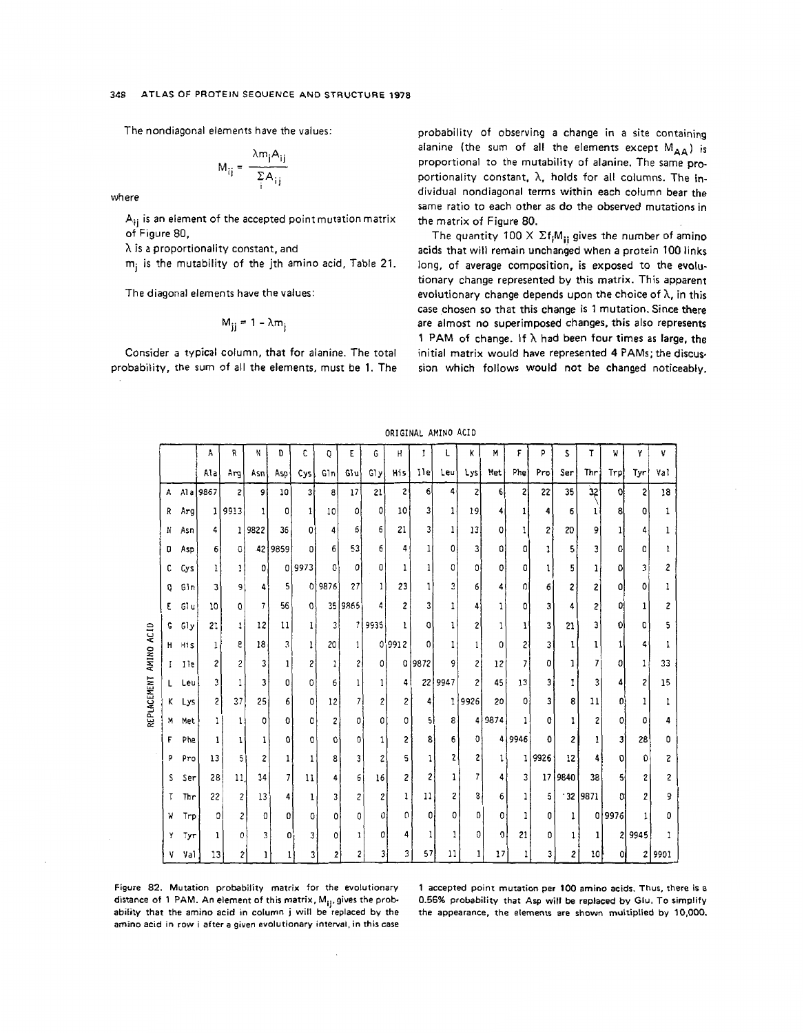<span id="page-3-0"></span>The nondiagonal elements have the values:

$$
M_{ij} = \frac{\lambda m_j A_{ij}}{\sum_i A_{ij}}
$$

where

 $A_{ij}$  is an element of the accepted point mutation matrix of Figure 80,

 $\lambda$  is a proportionality constant, and

m; is the mutability of the jth amino acid, Table 21.

The diagonal elements have the values:

$$
M_{jj}=1-\lambda m_j
$$

Consider a typical column, that for alanine. The total probability, the sum of all the elements, must be 1. The

probability of observing a change in a site containing alanine (the sum of all the elements except MAA) is proportional to the mutability of alanine. The same proportionality constant,  $\lambda$ , holds for all columns. The individual nondiagonal terms within each column bear the same ratio to each other as do the observed mutations in the matrix of Figure 80.

The quantity 100  $\times$   $\Sigma f_i M_{ii}$  gives the number of amino acids that will remain unchanged when a protein 100 links long, of average composition, is exposed to the evolutionary change represented by this matrix. This apparent evolutionary change depends upon the choice of  $\lambda$ , in this case chosen so that this change is 1 mutation. Since there are almost no superimposed changes, this also represents 1 PAM of change. If  $\lambda$  had been four times as large, the initial matrix would have represented 4 PAMs; the discussion which follows would not be changed noticeably.

|  | ORIGINAL AMINO ACID |  |  |
|--|---------------------|--|--|
|--|---------------------|--|--|

|             |              |       | A            | R              | N                        | D              | c            | 0                       | Ε                        | G              | н                       | I      | L       | ĸ              | М            | F              | p            | s            | T          | W.    | Y              | ٧      |
|-------------|--------------|-------|--------------|----------------|--------------------------|----------------|--------------|-------------------------|--------------------------|----------------|-------------------------|--------|---------|----------------|--------------|----------------|--------------|--------------|------------|-------|----------------|--------|
|             |              |       | Ala          | Arg            | Asnl                     | Asp            | Cysl         | $G\ln$                  | Glu                      | GIy            | His                     | Ilel   | Leul    | Lys            | Met          | Phe            | Pro          | Ser          | Thr        | Trp.  | Tyr            | Val    |
|             | $\mathbf{A}$ |       | A1 a 9867    | $\overline{c}$ | او                       | 10             | 3ł           | 8                       | 17                       | 21             | 2                       | 6      | 4       | 2              | 6            | 2 <sup>1</sup> | 22           | 35           | 32         | 0ł    | 2              | 18     |
|             | R            | Arg   | 11           | 9913           | 1                        | 0              | $\mathbf{1}$ | 10                      | 0                        | 0              | 10                      | 3      | 1       | 19             | 4            |                | 4            | 6            |            | 8     | o              |        |
|             | N            | Asn   | 4            | 11             | 9822                     | 36             | 0            | 4                       | 6                        | 6              | 21                      | 3      | 1       | 13             | 0            |                | $\mathbf{2}$ | 20           | 9          |       | 4              |        |
|             | D            | Asp   | 6            | $\Omega$       |                          | 42 9859        | ΩI           | 6                       | 53                       | 6              | 4                       | 1      | 0       | 3              | O.           | 0              | 1            | 5            | 3          | 0     | 0              |        |
|             | c            | Cys   | 1            | 1              | $\mathbf{0}$             |                | 0 9973       | $\Omega$                | ٥                        | 0              | 1                       |        | 0       | ٥              | 0            | 0              | 1            | 5            |            | ۵     | 3              |        |
|             | o            | Gln   | 3            | 9              | 4                        | 5 <sup>1</sup> |              | 0 9876                  | 27                       | 1              | 23                      |        | 3       | 6              | 4            | 0              | 6            | 2            | 2          | 01    | 0              |        |
|             | ε            | Gl u  | 10           | 0              | $\overline{\phantom{a}}$ | 56             | $\Omega$     |                         | 35 9865                  |                | $\overline{\mathbf{c}}$ | 3      |         | Δ              | 1            | 0              | 3            | 4            | 2          | 0!    | 1              |        |
|             | G            | Gly   | 21           | $\mathbf{1}$   | 12                       | 11             | 11           | $\overline{\mathbf{3}}$ | $\overline{\phantom{a}}$ | 9935           | ı                       | a      | 1       | 2              |              |                | 3            | 21           | 3          | 01    | O              |        |
| AMINO ACID  |              | H His | $\mathbf{1}$ | 8              | 18                       | 3              | ı            | 20                      | 1                        |                | 0 9912                  | 0      |         |                | 0            | 21             | 3            | ı            |            |       | 4              |        |
|             | $\mathbf{I}$ | 11e   | 2            | 2              | 3                        | 1              | 2            | 1                       | 2                        | ٥              |                         | 0 9872 |         | $\overline{c}$ | 12           | 7              | 0            |              | 7          | 0     | 1              | 33     |
|             | L.           | Leu   | 3            |                | 3                        | 0              | 0            | 6                       | 1                        | 1              | 4                       |        | 22 9947 | $\mathbf{2}$   | 45           | 13             | 3            | 1            | 3          | 4     | 2              | 15     |
| REPLACEMENT | ĸ            | Lys   | 2            | 37             | 25                       | 6              | 0            | 12                      | 7                        | $\overline{c}$ | 2                       | 4      | ı       | 9926           | 20           | ΩI             | 3            | 8            | 11         | O     |                |        |
|             | M            | Met   |              | 1              | 0                        | o              | ٥            | 2                       | 0                        | 0              | 0                       | 5      | 8       |                | 4 9874       |                | 0            |              | 2          | 0     | ٥              |        |
|             | F            | Phe   |              |                | 1                        | ٥              | 0            | C.                      | 0                        | 1              | 2                       | 8      | 6       | $\mathbf{0}$   |              | 4 9946         | O            | 2            | 1          | 31    | 28             | n      |
|             | p            | Pro   | 13           | 5              | $\overline{\mathbf{c}}$  | 1              | 1            | 8                       | 3                        | 2              | 5                       | 1      | 2       | 2              | 1            |                | 9926         | 12           | 4          | 0     | Û              | 2      |
|             | S            | Ser   | 28 !         | 11             | 34                       | 7              | 11           | 4                       | 6                        | 16             | 2                       | 2      | 1       | 7              | 4            | 31             |              | 17 9840      | 38         | 51    | 2              | 2      |
|             | Т            | Thr   | 22           | 2              | 13                       | 4              | 1            | 3                       | 2                        | 2              | ı                       | 11     | 2       | 8              | 6            |                | 5            |              | $-32$ 9871 | ni    | $\overline{2}$ | 9      |
|             | M            | Trp   | 0            | $\overline{c}$ | 0                        | 0              | 0            | 0                       | 0                        | 0              | 0                       | 0      | 0       | 0              | 0            |                | 0            | $\mathbf{I}$ |            | 09976 | 1              | 0      |
|             | Y            | Tyr   | 1            | ٥ŀ             | 3                        | 0              | 3            | 0                       | 1                        | 0              | 4                       |        |         | 0              | $\mathbf{0}$ | 21             | 0            | $\mathbf{1}$ | 1          | 21    | 9945           |        |
|             | ٧            | Val   | 13           | 2              |                          | ı              | 3            | 2                       | 2                        |                | 3                       | 57     | 11      |                | 17           | 1              |              | 2            | 10         |       |                | 2 9901 |

Figure 82. Mutation probability matrix for the evolutionary distance of 1 PAM. An element of this matrix, M<sub>ii</sub>, gives the probability that the amino acid in column j will be replaced by the amino acid in row i after a given evolutionary interval, in this case

1 accepted point mutation per 100 amino acids. Thus, there is a 0.56% probability that Asp will be replaced by Glu. To simplify the appearance, the elements are shown multiplied by 10,000.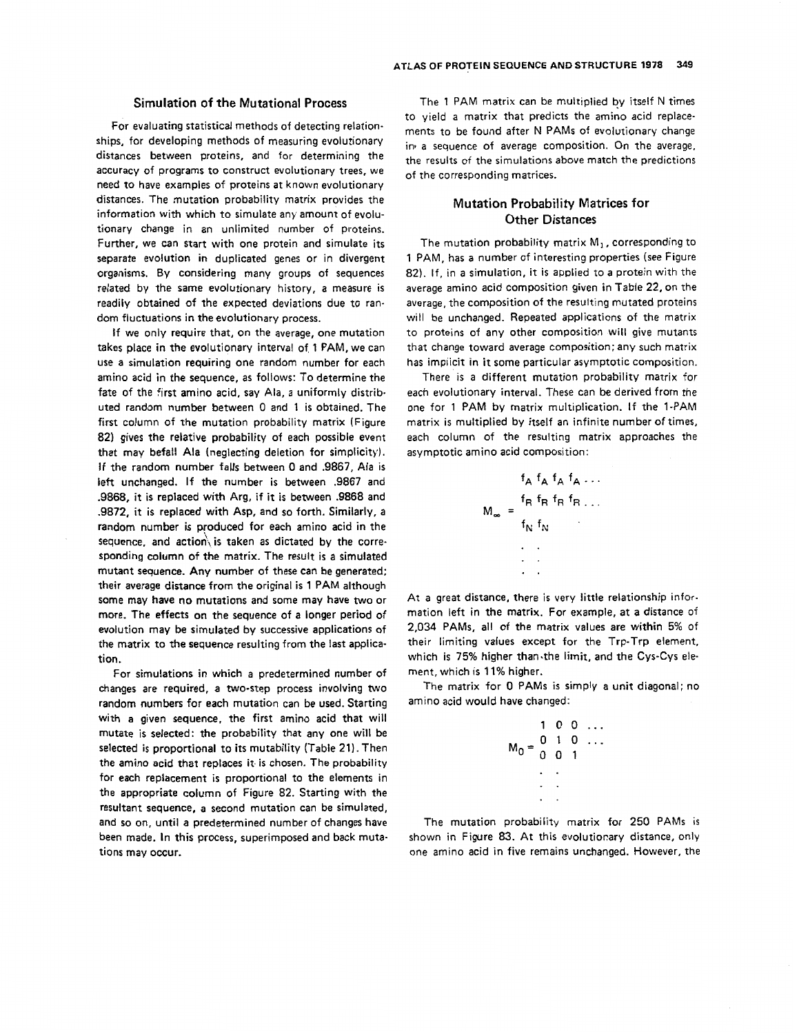## **Simulation of the Mutational Process**

For evaluating statistical methods of detecting relationships, for developing methods of measuring evolutionary distances between proteins, and for determining the accuracy of programs to construct evolutionary trees, we need to have examples of proteins at known evolutionary distances. The mutation probability matrix provides the information with which to simulate any amount of evolutionary change in an unlimited number of proteins. Further, we can start with one protein and simulate its separate evolution in duplicated genes or in divergent organisms. By considering many groups of equences related by the same evolutionary history, a measure is readily obtained of the expected deviations due to random fluctuations in the evolutionary process.

If we only require that, on the average, one mutation takes place in the evolutionary interval of, **1** PAM, we can use a simulation requiring one random number for each amino acid in the sequence, as follows: To determine the fate of the first amino acid, say Ala, a uniformly distributed random number between 0 and 1 is obtained. The first column of the mutation probability matrix (Fi[gure](#page-3-0)  [82\)](#page-3-0) gives the relative probability of each possible event that may befall Ala (neglecting deletion for simplicity). If the random number falls between **0** and .9867, Ala is left unchanged. If the number is between .9867 and .9868, it **is** replaced with Arg, if it is between .9868 and .9872, it **is** replaced with Asp, and **so** forth. Similarly, a random number **is** produced for each amino acid in the sequence, and action, is taken as dictated by the corresponding column of the matrix. The result is a simulated mutant sequence. Any number of these can be generated: their average distance from the original is **1 PAM** although some may have no mutations and some may have two or more. The effects on the sequence of a longer period of evolution may be simulated by successive applications of the matrix to the sequence resulting from the last application.

For simulations in which a predetermined number of changes are required, a two-step process involving *two*  random numbers for each mutation can be used. Starting with a given sequence, the first amino acid that will mutate is selected: the probability that any one will be selected **is** proportional to its mutability [\(Table](#page-2-0) **21).** Then the amino acid that replaces it. **is** chosen. The probability for each replacement is proportional to the elements in the appropriate column **of** [Figure 82.](#page-3-0) Starting with the resultant sequence, a second mutation can be simulated, and **so on,** until a predetermined number of changes have been made. In this process, superimposed and back mutations may occur.

The 1 PAM matrix can be multiplied by itself N times to yield a matrix that predicts the amino acid replacements to be found after N **PAMs** of evolutionary change in. a sequence of average composition. On the average, the results of the simulations above match the predictions of the corresponding matrices.

# **Mutation Probability Matrices for Other Distances**

The mutation probability matrix  $M_1$ , corresponding to 1 PAM, has a number of interesting properties (see [Figure](#page-3-0) *[82\)](#page-3-0).* If, in a simulation, it is applied **10** a protein with the average amino acid composition given in [Table](#page-2-0) **22,** on the average, the composition of the resulting mutated proteins will be unchanged. Repeated applications of the matrix to proteins of any other composition will give mutants that change toward average composition; any such matrix has implicit in it some particular asymptotic composition.

There is a different mutation probability matrix for each evolutionary interval. These can be derived from the one for **1** PAM by matrix multiplication. If the I-PAM matrix is multiplied by itself an infinite number of times, each column of the resulting matrix approaches the asymptotic amino acid composition:

$$
f_{A} f_{A} f_{A} f_{A} \dots
$$
\n
$$
M_{\infty} = \frac{f_{R} f_{R} f_{R} f_{R} \dots}{f_{N} f_{N}}
$$
\n
$$
\dots
$$

At a great distance, there is very little relationship information left in the matrix. For example, at a distance of 2,034 PAMs, all of the matrix values are within 5% of their limiting values except for the Trp-Trp element, which is 75% higher than.the limit, and the Cys-Cys element, which is **11%** higher.

The matrix for 0 PAMs is simply a unit diagonal; no amino acid would have changed:

$$
M_0 = \begin{bmatrix} 1 & 0 & 0 & \dots \\ 0 & 1 & 0 & \dots \\ 0 & 0 & 1 & \dots \\ \vdots & \vdots & \vdots & \ddots \end{bmatrix}
$$

The mutation probability matrix for 250 PAMs is shown in Figure 83. At this evolutionary distance, only one amino acid in five remains unchanged. However, the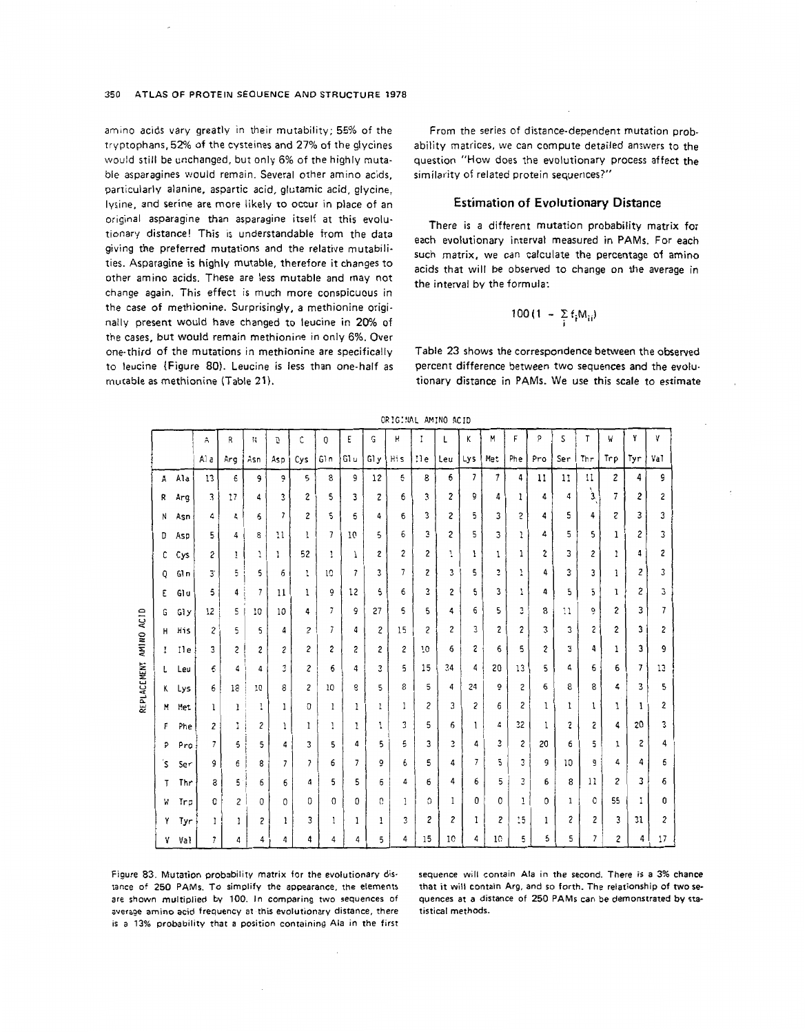#### **350 ATLAS OF PROTEIN SEOUENCE AND STRUCTURE 1978**

amino acids vary greatly in their mutability; 55% of the tryptophans. 52% of the cysteines and 27% of the glycines would still be unchanged, but only 6% of the highly mutable asparagines would remain. Several other amino acids, parricularly alanine, aspartic acid, glutamic acid, glycine, lysine, and serine are more likely to occur in place of an original asparagine than asparagine itself at this evolutionary distance! This is understandable from the data giving the preferred mutations and the relative mutabilities. Asparagine **is** highly mutable, therefore it changes to other amino acids. These are less mutable and may not change again. This effect is much more conspicuous in the case *of* methionine. Surprisingly, a methionine originally present would **have** changed to leucine in 20% of the cases, but would remain methionine in only 6%. Over one-third **of** the mutations in methionine are specifically to leucine (Figure **80).** Leucine is less than one-half as mutable **as** methionine [\(Table](#page-2-0) **21).** 

From the series of distance-dependent mutation probability matrices, we can compute detailed answers *to* the question "How does the evolutionary process affect the similarity of related protein sequences?"

## **Estimation of Evolutionary Distance**

There is a different mutation probability matrix for each evolutionary interval measured in **PAMs.** For each such matrix, we can calculate the percentage of amino acids that will be observed to change **on** the average in the interval bv the formula:

$$
00(1 - \sum_i f_i M_{ii})
$$

[Table 23](#page-6-0) shows the correspondence between the **observed**  percent difference between two sequences and the evolutionary distance in **PAMs. We** use this scale to estimate

|     |      |      |     |                          |                          |     |               |                |      | ORIGINAL AMINO ACID |       |                         |                |     |                |     |     |     |     |     |     |
|-----|------|------|-----|--------------------------|--------------------------|-----|---------------|----------------|------|---------------------|-------|-------------------------|----------------|-----|----------------|-----|-----|-----|-----|-----|-----|
|     |      | Å    | R   | N                        | D                        | C   | 0             | Ε              | G    | 'n.                 | I     | L                       | Κ              | M   | F              | p   | S   | T   | W   | Y   | ۷   |
|     |      | Al a | Arg | Asn                      | Asp                      | Cys | 61n           | G1 u           | G1 y | Hi s                | $i$ e | Leu                     | Lys            | Met | Phe            | Pro | Ser | Thr | Trp | Tyr | Va1 |
| A   | Ala  | 13   | 6   | 9                        | ò                        | 5   | 8             | 9              | 12   | 5                   | 8     | 6                       | $\overline{7}$ | 7   | 4              | 11  | 11  | 11  | 2   | 4   | 9   |
| R   | Arg  | 3    | 17  | 4                        | 3                        | 2   | 5             | 3              | 2    | 6                   | 3     | $\overline{\mathbf{c}}$ | 9              | 4   | 1              | 4   | 4   | 3   | 7   | 2   | 2   |
| N   | Asn  | 4    | 4   | 6                        | $\overline{\phantom{a}}$ | 2   | 5             | 6              | 4    | 6                   | 3     | $\mathbf{2}$            | 5              | 3   | $\overline{c}$ | 4   | 5   | 4   | z   | 3   | 3   |
| D   | Asp  | 5    | 4   | 8                        | 11                       | 1   | 7             | 10             | 5    | 6                   | 3     | $\mathbf{c}$            | 5              | 3   | 1              | 4   | 5   | 5   | 1   | 2   | 3   |
| С   | Cys  | г    | Ţ   | 1                        | ı                        | 52  | 1             | 1              | 2    | 2                   | 2     | 1                       | 1              | 1   | 1              | 2   | 3   | 2   | 1   | 4   | 2   |
| Q   | Gln  | 3.   | 5   | 5                        | 6                        | ı   | 10            | $\overline{7}$ | 3    | 7                   | z     | 3                       | 5              | З   | 1              | 4   | 3   | 3   | 1   | 2   | 3   |
| Ε   | Glu  | 5    | 4   | $\overline{\phantom{a}}$ | 11                       | 1   | Ò             | 12             | 5    | 6                   | 3     | 2                       | 5              | 3   | 1              | 4   | 5   | 5   | 1   | 2   | 3   |
| G   | Gly  | 12   | 5   | 10                       | 10                       | 4   | $\mathcal{I}$ | 9              | 27   | 5                   | 5.    | 4                       | 6              | 5   | 3              | 8   | 11  | ò   | 2   | 3   | 7   |
| н   | His  | 2    | 5   | 5                        | 4                        | 2   | 7             | 4              | 2    | 15                  | 2     | 2                       | 3              | 2   | 2              | 3   | 3   | 2   | 2   | 3   | 2   |
| I   | Il e | 3    | 2   | 2                        | г                        | 2   | 2             | 2              | 2    | 2                   | 10    | 6                       | 2              | 6   | 5              | 2   | 3   | 4   | ı   | 3   | 9   |
| L   | Leu  | 6    | 4   | 4                        | 3                        | 2   | 6             | 4              | 3    | 5                   | 15    | 34                      | 4              | 20  | 13             | 5   | 4   | 6   | 6   | 7   | 13  |
| ĸ   | Lys  | 6    | 18  | 10                       | 8                        | 2   | 10            | 8              | 5    | 8                   | 5     | 4                       | 24             | ō   | 2              | 6   | 8   | 8   | 4   | 3   | 5   |
| M   | Met  | ı    | 1   | ı                        | 1                        | 0   | 1             | 1              | 1    | 1                   | 2     | 3                       | 2              | 6   | 2              | 1   | 1   | 1   | ı   | 1   | 2   |
| F   | Phe  | 2    | I.  | 2                        | 1                        | 1   | 1             | 1              | 1    | 3                   | 5     | 6                       | 1              | 4   | 32             | 1   | 2   | S   | 4   | 20  | 3   |
| P   | Pro  | 7    | 5   | 5                        | 4                        | 3   | 5             | 4              | 5    | 5                   | 3     | 3                       | 4              | з   | 2              | 20  | 6   | 5   | 1   | 2   | 4   |
| َ s | Ser  | 9    | 6   | 8                        | 7                        | 7   | 6             | 7              | õ    | 6                   | 5     | 4                       | 7              | 5   | 3              | 9   | 10  | 9   | 4   | 4   | 6   |
| Т   | Thr  | 8    | 5   | 6                        | 6                        | 4   | 5             | 5              | 6    | 4                   | 6     | 4                       | 6              | 5   | 3              | 6   | 8   | 11  | 2   | 3   | 6   |
| W   | Trp  | 0    | 2   | 0                        | 0                        | 0   | 0             | 0              | c    | 1                   | O     | 1                       | 0              | 0   | 1              | 0   | 1   | 0   | 55  | 1   | 0   |
| Υ   | Tyr  | 1    | ı   | 2                        | 1                        | 3   | 1             | 1              | 1    | 3                   | 2     | 2                       | 1              | 2   | 15             | 1   | 2   | 2   | 3   | 31  | 2   |
| ٧   | Val  | 7    | 4   | 4                        | 4                        | 4   | 4             | 4              | 5    | 4                   | 15    | 10                      | 4              | 10  | 5              | 5   | 5   | 7   | 2   | 4   | 17  |

OR?C:?IAL **AVINO** ACID

**Figure 83. Mutation probability matrix** for **the evolutionary dis**tance of 250 PAMs. To simplify the appearance, the elements **are shown multiplied by** 100. **In comparing two sequences** of **average amino acid frequency a1 this evolutionary distance, there is** a **13% probability that a position containing Ala in the** *first*  **iequence** will **contain Ala in the second. There** *is* **a 3% chance [hat it will contain Arg, and 50 forth. The relationship of two se-Juences at a distance** of **250 PAMs can be demonstrated by sta- :istical methods.**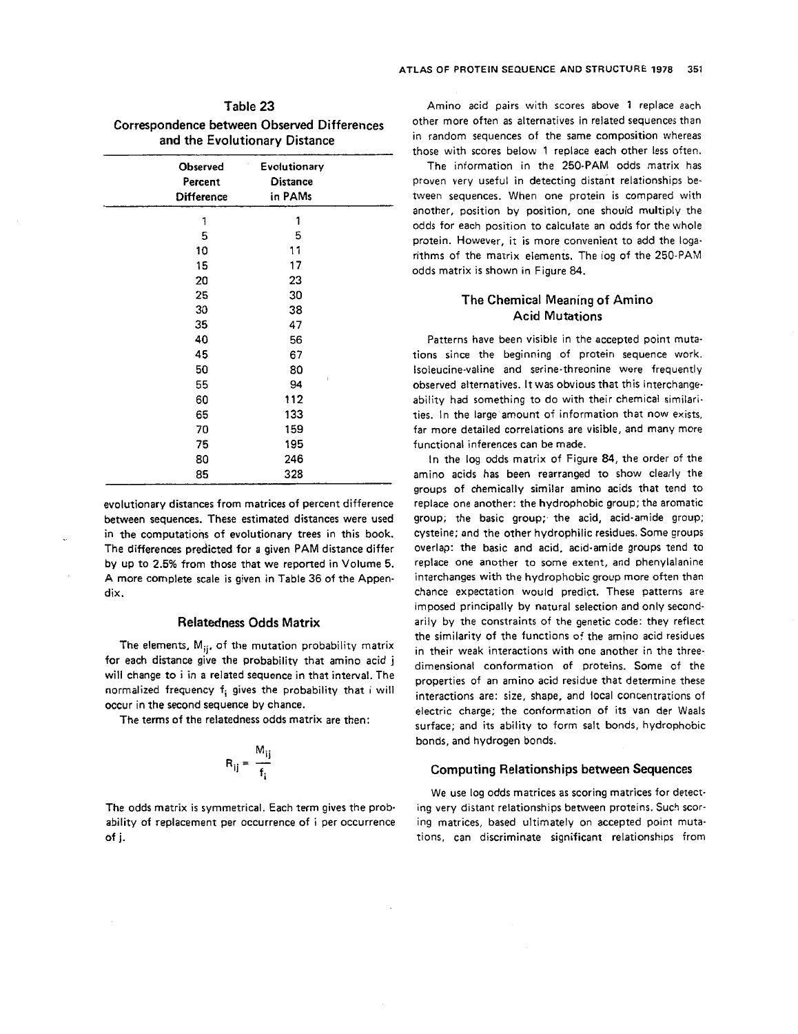<span id="page-6-0"></span>

| Table 23                                    |
|---------------------------------------------|
| Correspondence between Observed Differences |
| and the Evolutionary Distance               |

| Observed<br>Percent<br><b>Difference</b> | Evolutionary<br><b>Distance</b><br>in PAMs |  |
|------------------------------------------|--------------------------------------------|--|
| 1                                        | 1                                          |  |
| 5                                        | 5                                          |  |
| 10                                       | 11                                         |  |
| 15                                       | 17                                         |  |
| 20                                       | 23                                         |  |
| 25                                       | 30                                         |  |
| 30                                       | 38                                         |  |
| 35                                       | 47                                         |  |
| 40                                       | 56                                         |  |
| 45                                       | 67                                         |  |
| 50                                       | 80                                         |  |
| 55                                       | 94                                         |  |
| 60                                       | 112                                        |  |
| 65                                       | 133                                        |  |
| 70                                       | 159                                        |  |
| 75                                       | 195                                        |  |
| 80                                       | 246                                        |  |
| 85                                       | 328                                        |  |

evolutionary distances from matrices of percent difference between sequences. These estimated distances were used in the computations of evolutionary trees in this book. The differences predicted for a given **PAM** distance differ by up to **2.5%** from those that we reported in Volume 5. **A** more complete scale is given in Table 36 of the Appendix.

## **Relatedness Odds Matrix**

The elements,  $M_{ii}$ , of the mutation probability matrix for each distance give the probability that amino acid **j**  will change to i in a related sequence in that interval. The normalized frequency  $f_i$  gives the probability that i will occur in the second sequence by chance.

The terms of the relatedness odds matrix are then:

$$
R_{ij} = \frac{M_{ij}}{f_i}
$$

The **odds** matrix is symmetrical. Each term gives the probability of replacement per occurrence of i per occurrence of **j.** 

Amino acid pairs with scores above **1** replace ach other more often as alternatives in related sequences than in random sequences of the same composition whereas those with scores below **1** replace each other less often.

The information in the 250-PAM odds matrix has proven very useful in detecting distant relationships between sequences. When one protein is compared with another, position by position, one should multiply the odds for each position to calculate an odds for the whole protein. However, it is more convenient to add the logarithms of the matrix elements. The log of the 250-PAM odds matrix is shown in [Figure 84.](#page-7-0)

## **The Chemical Meaning of Amino Acid Mutations**

Patterns have been visible in the accepted point mutations since the beginning of protein sequence **work.**  Isoleucine-valine and serine-threonine were frequently observed alternatives. It was obvious that this interchangeability had something to do with their chemical similarities. In the large amount of information that now exists, far more detailed correlations are visible, and **many** more functional inferences can be made.

In the log odds matrix of [Figure](#page-7-0) **84,** the order of the amino acids has been rearranged to show clearly the groups of chemically similar amino acids that tend to replace one another: the hydrophobic group; the aromatic group; the basic group; the acid, acid-amide group; cysteine; and the other hydrophilic residues. Some groups overlap: the basic and acid, acid-amide groups tend to replace one another to some extent, and phenylalanine interchanges with the hydrophobic group more often than chance expectation would predict. These patterns are imposed principally by natural selection and only secondarily by the constraints of the genetic code: they reflect the similarity of the functions of the amino acid residues in their weak interactions with one another in the threedimensional conformation of proteins. Some of the properties of an amino acid residue that determine these interactions are: **size,** shape, and local concentrations of electric charge; the conformation of its van der Waals surface; and its ability to form salt bonds, hydrophobic bonds, and hydrogen bonds.

#### **Computing Relationships between Sequences**

We use log odds matrices **as** scoring matrices for detecting very distant relationships between proteins. Such scoring matrices, based ultimately on accepted point mutations, can discriminate significant relationships from